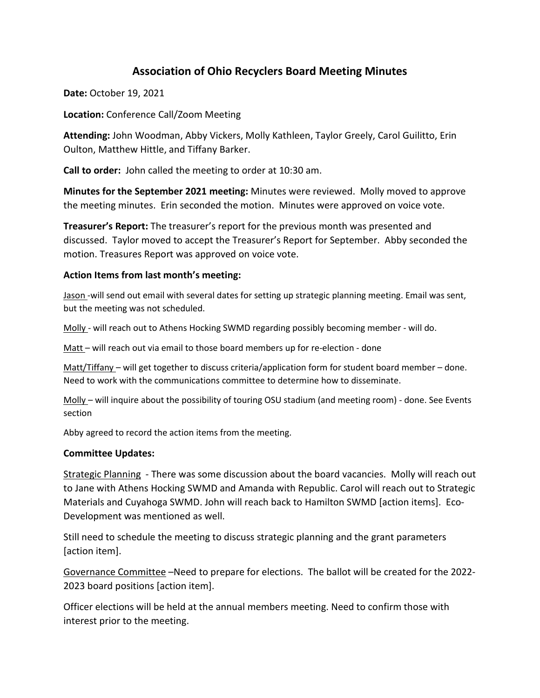# **Association of Ohio Recyclers Board Meeting Minutes**

**Date:** October 19, 2021

**Location:** Conference Call/Zoom Meeting

**Attending:** John Woodman, Abby Vickers, Molly Kathleen, Taylor Greely, Carol Guilitto, Erin Oulton, Matthew Hittle, and Tiffany Barker.

**Call to order:** John called the meeting to order at 10:30 am.

**Minutes for the September 2021 meeting:** Minutes were reviewed. Molly moved to approve the meeting minutes. Erin seconded the motion. Minutes were approved on voice vote.

**Treasurer's Report:** The treasurer's report for the previous month was presented and discussed. Taylor moved to accept the Treasurer's Report for September. Abby seconded the motion. Treasures Report was approved on voice vote.

### **Action Items from last month's meeting:**

Jason -will send out email with several dates for setting up strategic planning meeting. Email was sent, but the meeting was not scheduled.

Molly - will reach out to Athens Hocking SWMD regarding possibly becoming member - will do.

Matt - will reach out via email to those board members up for re-election - done

Matt/Tiffany – will get together to discuss criteria/application form for student board member – done. Need to work with the communications committee to determine how to disseminate.

Molly – will inquire about the possibility of touring OSU stadium (and meeting room) - done. See Events section

Abby agreed to record the action items from the meeting.

#### **Committee Updates:**

Strategic Planning - There was some discussion about the board vacancies. Molly will reach out to Jane with Athens Hocking SWMD and Amanda with Republic. Carol will reach out to Strategic Materials and Cuyahoga SWMD. John will reach back to Hamilton SWMD [action items]. Eco-Development was mentioned as well.

Still need to schedule the meeting to discuss strategic planning and the grant parameters [action item].

Governance Committee –Need to prepare for elections. The ballot will be created for the 2022- 2023 board positions [action item].

Officer elections will be held at the annual members meeting. Need to confirm those with interest prior to the meeting.